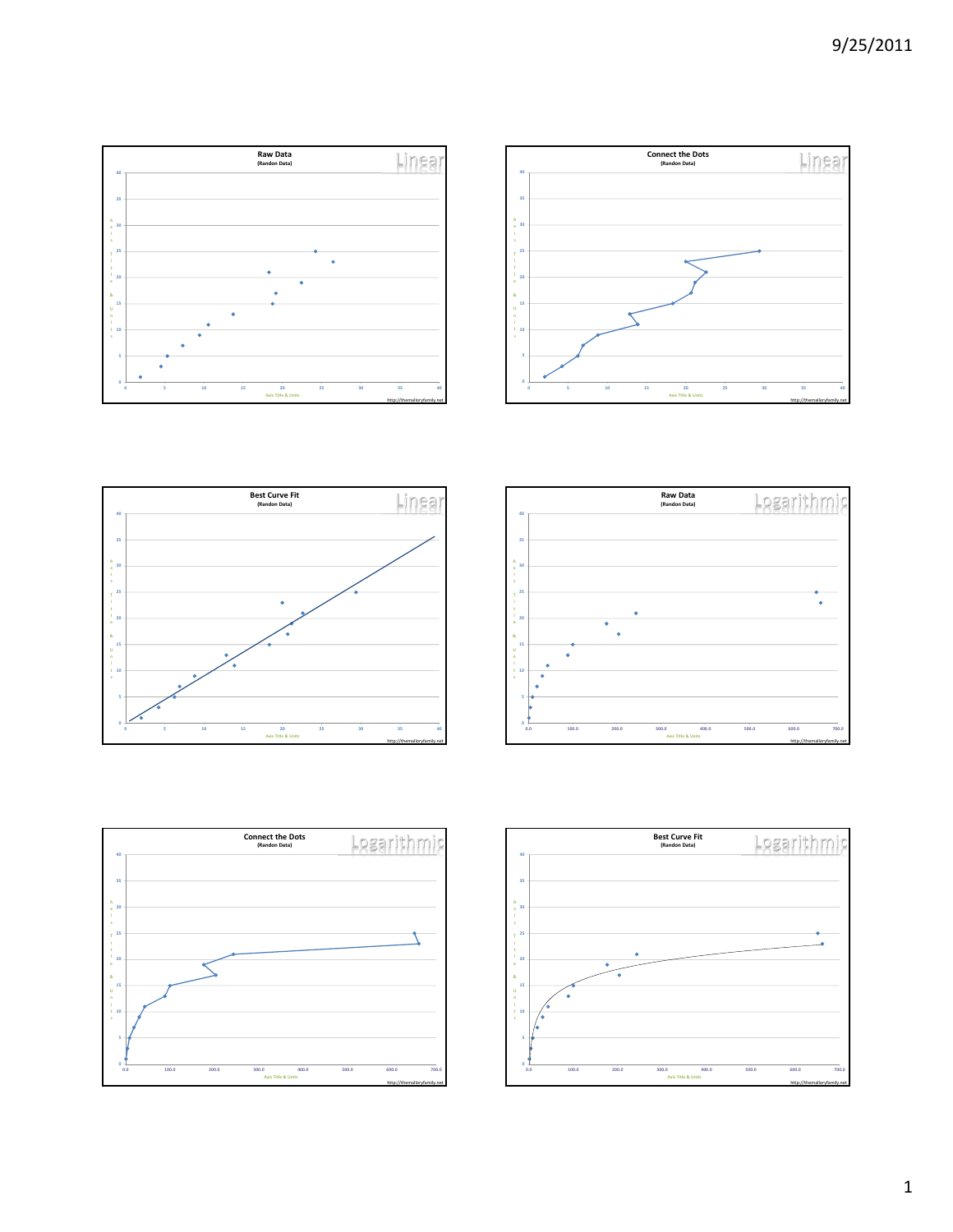http://themalloryfamily.net

**Linga** 









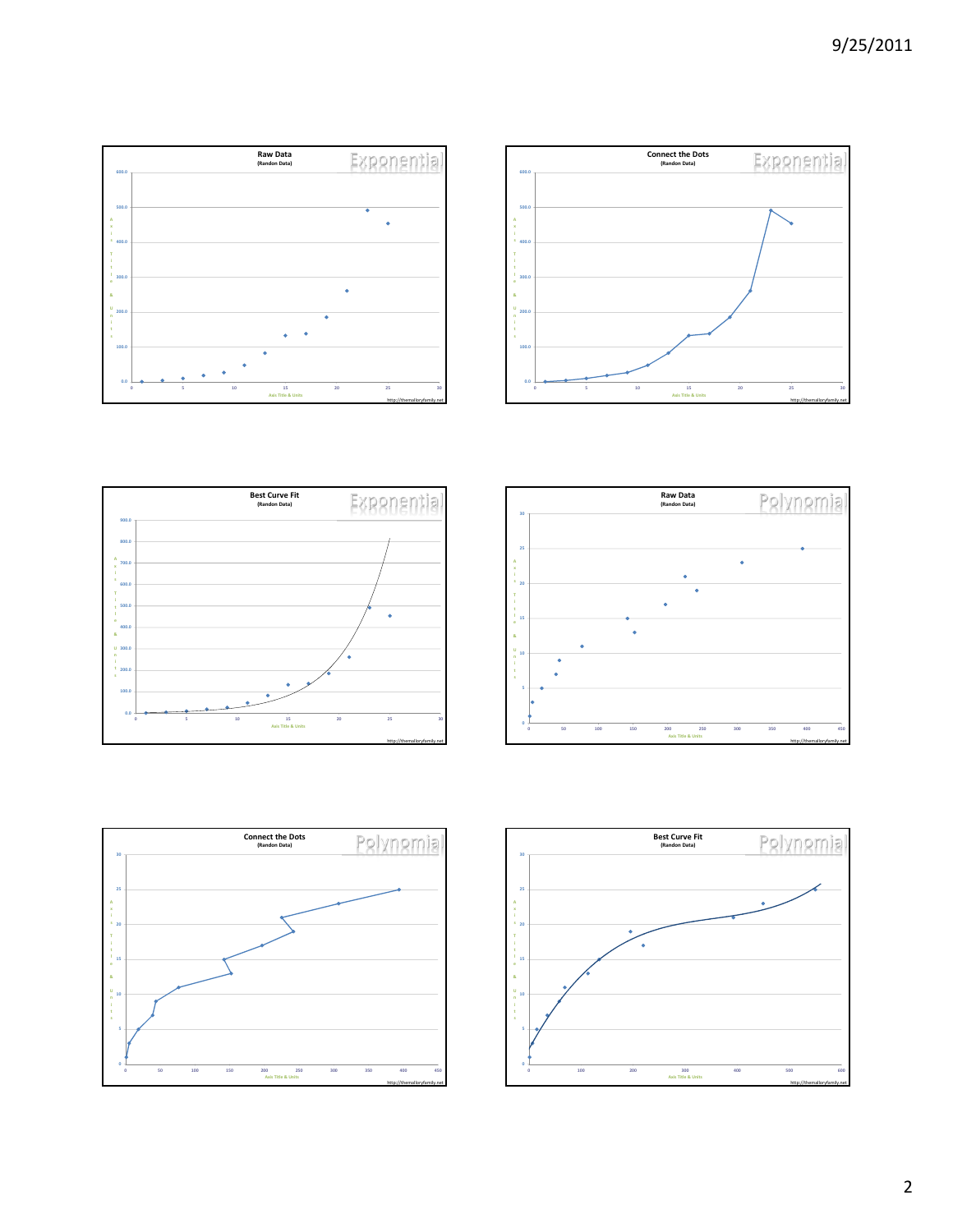